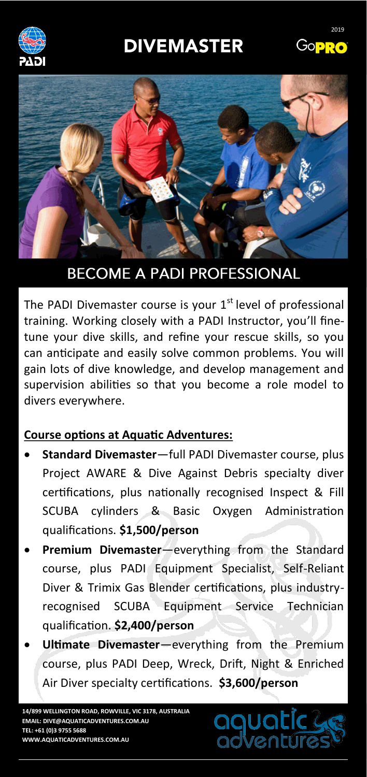# **DIVEMASTER**







## **BECOME A PADI PROFESSIONAL**

The PADI Divemaster course is your  $1<sup>st</sup>$  level of professional training. Working closely with a PADI Instructor, you'll finetune your dive skills, and refine your rescue skills, so you can anticipate and easily solve common problems. You will gain lots of dive knowledge, and develop management and supervision abilities so that you become a role model to divers everywhere.

### **Course options at Aquatic Adventures:**

- **Standard Divemaster**—full PADI Divemaster course, plus Project AWARE & Dive Against Debris specialty diver certifications, plus nationally recognised Inspect & Fill SCUBA cylinders & Basic Oxygen Administration qualifications. **\$1,500/person**
- **Premium Divemaster**—everything from the Standard course, plus PADI Equipment Specialist, Self-Reliant Diver & Trimix Gas Blender certifications, plus industryrecognised SCUBA Equipment Service Technician qualification. **\$2,400/person**
- **Ultimate Divemaster**—everything from the Premium course, plus PADI Deep, Wreck, Drift, Night & Enriched Air Diver specialty certifications. **\$3,600/person**